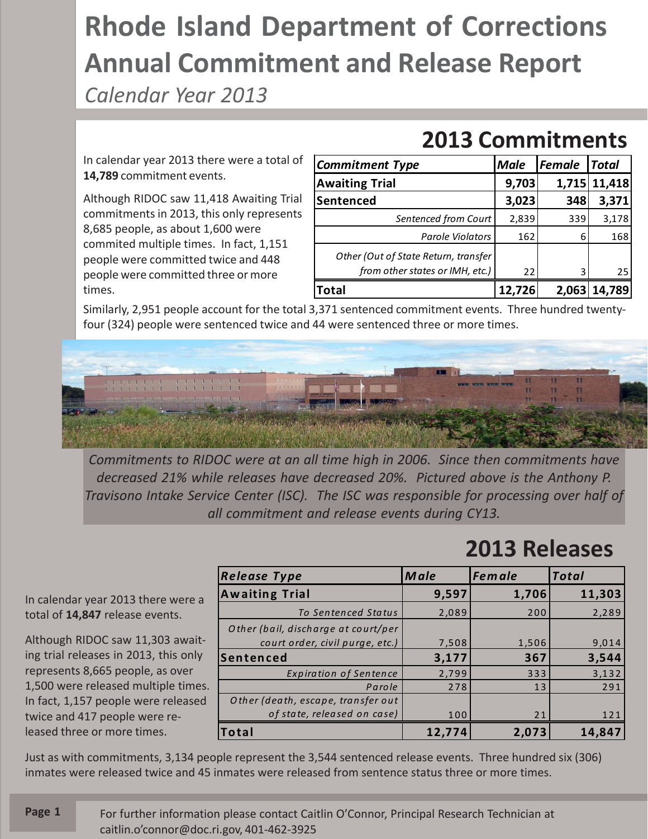## **Rhode Island Department of Corrections Annual Commitment and Release Report**

*Calendar Year 2013*

In calendar year 2013 there were a total of **14,789** commitment events.

Although RIDOC saw 11,418 Awaiting Trial commitments in 2013, this only represents 8,685 people, as about 1,600 were commited multiple times. In fact, 1,151 people were committed twice and 448 people were committed three or more times.

| <b>Commitment Type</b>                                                  | <b>Male</b> | Female | <b>Total</b> |
|-------------------------------------------------------------------------|-------------|--------|--------------|
| <b>Awaiting Trial</b>                                                   | 9,703       |        | 1,715 11,418 |
| Sentenced                                                               | 3,023       | 348    | 3,371        |
| Sentenced from Court                                                    | 2,839       | 339    | 3,178        |
| <b>Parole Violators</b>                                                 | 162         | 6      | 168          |
| Other (Out of State Return, transfer<br>from other states or IMH, etc.) | 22          | ς      | 25           |
| Total                                                                   | 12,726      | 2,063  | 14,789       |

**2013 Commitments**

Similarly, 2,951 people account for the total 3,371 sentenced commitment events. Three hundred twentyfour (324) people were sentenced twice and 44 were sentenced three or more times.



*Commitments to RIDOC were at an all time high in 2006. Since then commitments have decreased 21% while releases have decreased 20%. Pictured above is the Anthony P. Travisono Intake Service Center (ISC). The ISC was responsible for processing over half of all commitment and release events during CY13.*

## **2013 Releases**

*Release Type Male Female Total* **Awaiting Trial 9,597 1,706 11,303** *To Sentenced Status* 2,089 200 2,289 *O ther (bail, discharge at court/per court order, civil purge, etc.*) **7,508** 1,506 9,014 **Sentenced 3,177 367 3,544** *Expiration of Sentence* | 2,799 333 3,132 Parole 278 13 291 *O ther (death, escape, transfer out of state, released on case*) 100 21 21 21 **Total 12,774 2,073 14,847**

Just as with commitments, 3,134 people represent the 3,544 sentenced release events. Three hundred six (306) inmates were released twice and 45 inmates were released from sentence status three or more times.

In calendar year 2013 there were a total of **14,847** release events.

Although RIDOC saw 11,303 awaiting trial releases in 2013, this only represents 8,665 people, as over 1,500 were released multiple times. In fact, 1,157 people were released twice and 417 people were released three or more times.